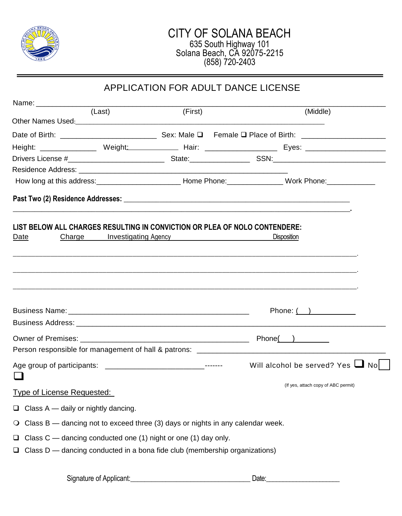

|                                                                                           |        | APPLICATION FOR ADULT DANCE LICENSE           |                                                                                                                                                                      |  |
|-------------------------------------------------------------------------------------------|--------|-----------------------------------------------|----------------------------------------------------------------------------------------------------------------------------------------------------------------------|--|
|                                                                                           |        |                                               |                                                                                                                                                                      |  |
|                                                                                           | (Last) | (First)                                       | (Middle)                                                                                                                                                             |  |
|                                                                                           |        |                                               |                                                                                                                                                                      |  |
|                                                                                           |        |                                               |                                                                                                                                                                      |  |
|                                                                                           |        |                                               | Height: ___________________Weight:_________________Hair: ________________________ Eyes: ______________________                                                       |  |
|                                                                                           |        |                                               |                                                                                                                                                                      |  |
|                                                                                           |        |                                               | How long at this address: ________________________________Home Phone: ___________________Work Phone: _______________                                                 |  |
|                                                                                           |        |                                               |                                                                                                                                                                      |  |
|                                                                                           |        |                                               |                                                                                                                                                                      |  |
|                                                                                           |        |                                               |                                                                                                                                                                      |  |
| LIST BELOW ALL CHARGES RESULTING IN CONVICTION OR PLEA OF NOLO CONTENDERE:                |        |                                               |                                                                                                                                                                      |  |
| Date                                                                                      |        | Charge Investigating Agency Management Charge | <b>Disposition</b>                                                                                                                                                   |  |
|                                                                                           |        |                                               |                                                                                                                                                                      |  |
|                                                                                           |        |                                               |                                                                                                                                                                      |  |
|                                                                                           |        |                                               |                                                                                                                                                                      |  |
|                                                                                           |        |                                               | ,一个人都不能在这里的人,我们就不能在这里的人,我们就不能在这里的人,我们就不能在这里的人,我们就不能在这里的人,我们就不能在这里的人,我们就不能在这里的人,我<br>第251章 我们的人,我们就不能在这里的人,我们就不能在这里的人,我们就不能在这里的人,我们就不能在这里的人,我们就不能在这里的人,我们就不能在这里的人,我们就 |  |
|                                                                                           |        |                                               |                                                                                                                                                                      |  |
|                                                                                           |        |                                               | Phone: $($ $)$                                                                                                                                                       |  |
|                                                                                           |        |                                               |                                                                                                                                                                      |  |
|                                                                                           |        |                                               |                                                                                                                                                                      |  |
|                                                                                           |        |                                               |                                                                                                                                                                      |  |
|                                                                                           |        |                                               | Will alcohol be served? Yes $\Box$ No                                                                                                                                |  |
| the company of the company of                                                             |        |                                               |                                                                                                                                                                      |  |
|                                                                                           |        |                                               | (If yes, attach copy of ABC permit)                                                                                                                                  |  |
| <b>Type of License Requested:</b>                                                         |        |                                               |                                                                                                                                                                      |  |
| Class A - daily or nightly dancing.<br>$\Box$                                             |        |                                               |                                                                                                                                                                      |  |
| Class B — dancing not to exceed three (3) days or nights in any calendar week.<br>$\circ$ |        |                                               |                                                                                                                                                                      |  |
| Class C - dancing conducted one (1) night or one (1) day only.<br>$\Box$                  |        |                                               |                                                                                                                                                                      |  |
| Class D - dancing conducted in a bona fide club (membership organizations)<br>❏           |        |                                               |                                                                                                                                                                      |  |
|                                                                                           |        |                                               |                                                                                                                                                                      |  |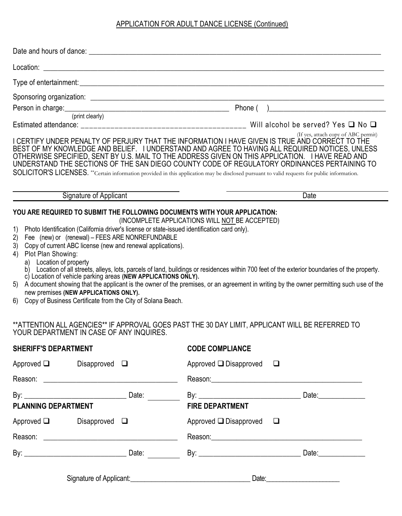## APPLICATION FOR ADULT DANCE LICENSE (Continued)

|                                                                                                                                                                                                                                                                                                                                                                                                                                                                                                                                                              | Person in charge: (print clearly) (print clearly)                                                                                                                                                                                                                                                                                                                                                                                                                                                                                                                                           |
|--------------------------------------------------------------------------------------------------------------------------------------------------------------------------------------------------------------------------------------------------------------------------------------------------------------------------------------------------------------------------------------------------------------------------------------------------------------------------------------------------------------------------------------------------------------|---------------------------------------------------------------------------------------------------------------------------------------------------------------------------------------------------------------------------------------------------------------------------------------------------------------------------------------------------------------------------------------------------------------------------------------------------------------------------------------------------------------------------------------------------------------------------------------------|
|                                                                                                                                                                                                                                                                                                                                                                                                                                                                                                                                                              | Will alcohol be served? Yes $\Box$ No $\Box$                                                                                                                                                                                                                                                                                                                                                                                                                                                                                                                                                |
|                                                                                                                                                                                                                                                                                                                                                                                                                                                                                                                                                              | (If yes, attach copy of ABC permit)<br>I CERTIFY UNDER PENALTY OF PERJURY THAT THE INFORMATION I HAVE GIVEN IS TRUE AND CORRECT TO THE<br>BEST OF MY KNOWLEDGE AND BELIEF. I UNDERSTAND AND AGREE TO HAVING ALL REQUIRED NOTICES, UNLESS<br>OTHERWISE SPECIFIED, SENT BY U.S. MAIL TO THE ADDRESS GIVEN ON THIS APPLICATION. I HAVE READ AND<br>UNDERSTAND THE SECTIONS OF THE SAN DIEGO COUNTY CODE OF REGULATORY ORDINANCES PERTAINING TO<br>SOLICITOR'S LICENSES. **Certain information provided in this application may be disclosed pursuant to valid requests for public information. |
| Signature of Applicant                                                                                                                                                                                                                                                                                                                                                                                                                                                                                                                                       | <b>Date</b>                                                                                                                                                                                                                                                                                                                                                                                                                                                                                                                                                                                 |
| YOU ARE REQUIRED TO SUBMIT THE FOLLOWING DOCUMENTS WITH YOUR APPLICATION:<br>1)<br>Photo Identification (California driver's license or state-issued identification card only).<br>Fee (new) or (renewal) - FEES ARE NONREFUNDABLE<br>2)<br>Copy of current ABC license (new and renewal applications).<br>3)<br>Plot Plan Showing:<br>4)<br>Location of property<br>a)<br>c) Location of vehicle parking areas (NEW APPLICATIONS ONLY).<br>5)<br>new premises (NEW APPLICATIONS ONLY).<br>Copy of Business Certificate from the City of Solana Beach.<br>6) | (INCOMPLETE APPLICATIONS WILL NOT BE ACCEPTED)<br>Location of all streets, alleys, lots, parcels of land, buildings or residences within 700 feet of the exterior boundaries of the property.<br>A document showing that the applicant is the owner of the premises, or an agreement in writing by the owner permitting such use of the                                                                                                                                                                                                                                                     |
| YOUR DEPARTMENT IN CASE OF ANY INQUIRES.                                                                                                                                                                                                                                                                                                                                                                                                                                                                                                                     | **ATTENTION ALL AGENCIES** IF APPROVAL GOES PAST THE 30 DAY LIMIT, APPLICANT WILL BE REFERRED TO                                                                                                                                                                                                                                                                                                                                                                                                                                                                                            |
| <b>SHERIFF'S DEPARTMENT</b>                                                                                                                                                                                                                                                                                                                                                                                                                                                                                                                                  | <b>CODE COMPLIANCE</b>                                                                                                                                                                                                                                                                                                                                                                                                                                                                                                                                                                      |

| <b>CODE COMPLIANCE</b> |  |
|------------------------|--|
|                        |  |

| Approved $\Box$            | Disapproved $\Box$ |                                                 | Approved $\square$ Disapproved $\square$                                                                                                                                                                                       |                     |
|----------------------------|--------------------|-------------------------------------------------|--------------------------------------------------------------------------------------------------------------------------------------------------------------------------------------------------------------------------------|---------------------|
|                            |                    |                                                 |                                                                                                                                                                                                                                |                     |
| <b>PLANNING DEPARTMENT</b> |                    |                                                 | <b>FIRE DEPARTMENT</b>                                                                                                                                                                                                         |                     |
| Approved $\Box$            | Disapproved $\Box$ |                                                 | Approved $\square$ Disapproved $\square$                                                                                                                                                                                       |                     |
|                            |                    |                                                 | Reason: the contract of the contract of the contract of the contract of the contract of the contract of the contract of the contract of the contract of the contract of the contract of the contract of the contract of the co |                     |
|                            |                    |                                                 |                                                                                                                                                                                                                                | Date: <b>Date</b> : |
|                            |                    | Signature of Applicant: Signature of Applicant: |                                                                                                                                                                                                                                |                     |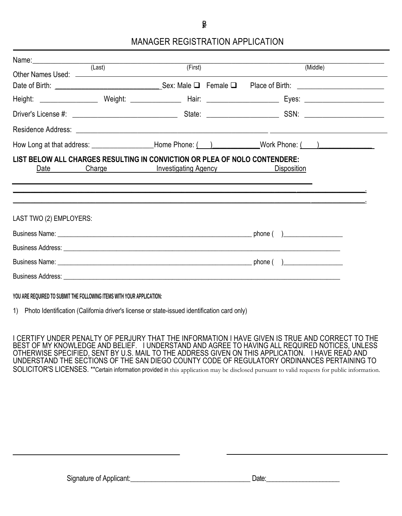$\mathbf{B}$ 

## MANAGER REGISTRATION APPLICATION

|                         | (Last) |                                           | (First) | (Middle)                                                                                                       |
|-------------------------|--------|-------------------------------------------|---------|----------------------------------------------------------------------------------------------------------------|
|                         |        |                                           |         |                                                                                                                |
|                         |        |                                           |         |                                                                                                                |
|                         |        |                                           |         |                                                                                                                |
|                         |        |                                           |         |                                                                                                                |
|                         |        |                                           |         | How Long at that address: ___________________Home Phone: (enclosive monother monother (enclosive monother mono |
| Date                    |        | Charge <b>Charge Investigating Agency</b> |         |                                                                                                                |
| LAST TWO (2) EMPLOYERS: |        |                                           |         |                                                                                                                |
|                         |        |                                           |         |                                                                                                                |
|                         |        |                                           |         |                                                                                                                |
|                         |        |                                           |         |                                                                                                                |
|                         |        |                                           |         |                                                                                                                |
|                         |        |                                           |         |                                                                                                                |

**YOU ARE REQUIRED TO SUBMIT THE FOLLOWING ITEMS WITH YOUR APPLICATION:** 

1) Photo Identification (California driver's license or state-issued identification card only)

I CERTIFY UNDER PENALTY OF PERJURY THAT THE INFORMATION I HAVE GIVEN IS TRUE AND CORRECT TO THE BEST OF MY KNOWLEDGE AND BELIEF. I UNDERSTAND AND AGREE TO HAVING ALL REQUIRED NOTICES, UNLESS OTHERWISE SPECIFIED, SENT BY U.S. MAIL TO THE ADDRESS GIVEN ON THIS APPLICATION. I HAVE READ AND UNDERSTAND THE SECTIONS OF THE SAN DIEGO COUNTY CODE OF REGULATORY ORDINANCES PERTAINING TO SOLICITOR'S LICENSES. \*\*Certain information provided in this application may be disclosed pursuant to valid requests for public information.